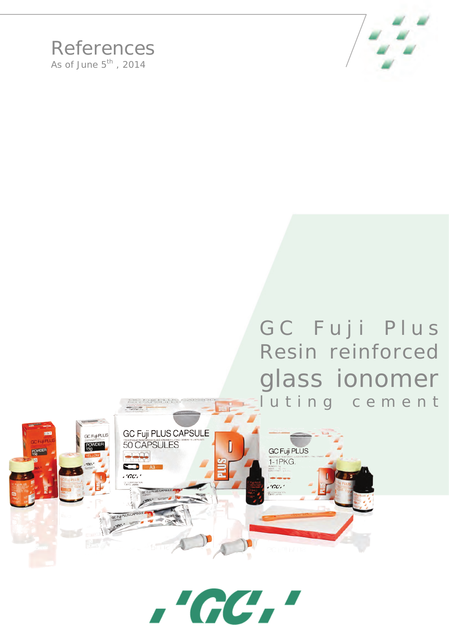



## GC Fuji Plus Resin reinforced glass ionomer luting cement



**Carl Carl Park Company** 

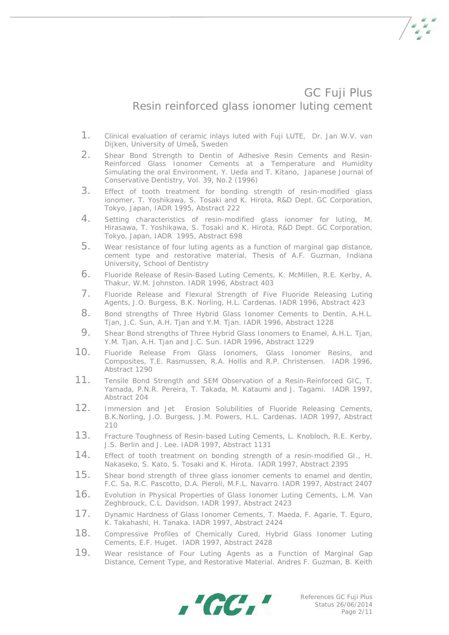

## GC Fuji Plus Resin reinforced glass ionomer luting cement

- 1. Clinical evaluation of ceramic inlays luted with Fuji LUTE, Dr. Jan W.V. van Dijken, University of Umeå, Sweden
- 2. Shear Bond Strength to Dentin of Adhesive Resin Cements and Resin-Reinforced Glass Ionomer Cements at a Temperature and Humidity Simulating the oral Environment, Y. Ueda and T. Kitano, Japanese Journal of Conservative Dentistry, Vol. 39, No.2 (1996)
- 3. Effect of tooth treatment for bonding strength of resin-modified glass ionomer, T. Yoshikawa, S. Tosaki and K. Hirota, R&D Dept. GC Corporation, Tokyo, Japan, IADR 1995, Abstract 222
- 4. Setting characteristics of resin-modified glass ionomer for luting, M. Hirasawa, T. Yoshikawa, S. Tosaki and K. Hirota, R&D Dept. GC Corporation, Tokyo, Japan, IADR 1995, Abstract 698
- 5. Wear resistance of four luting agents as a function of marginal gap distance, cement type and restorative material, Thesis of A.F. Guzman, Indiana University, School of Dentistry
- 6. Fluoride Release of Resin-Based Luting Cements, K. McMillen, R.E. Kerby, A. Thakur, W.M. Johnston. IADR 1996, Abstract 403
- 7. Fluoride Release and Flexural Strength of Five Fluoride Releasing Luting Agents, J.O. Burgess, B.K. Norling, H.L. Cardenas. IADR 1996, Abstract 423
- 8. Bond strengths of Three Hybrid Glass Ionomer Cements to Dentin, A.H.L. Tjan, J.C. Sun, A.H. Tjan and Y.M. Tjan. IADR 1996, Abstract 1228
- 9. Shear Bond strengths of Three Hybrid Glass Ionomers to Enamel, A.H.L. Tjan, Y.M. Tjan, A.H. Tjan and J.C. Sun. IADR 1996, Abstract 1229
- 10. Fluoride Release From Glass Ionomers, Glass Ionomer Resins, and Composites, T.E. Rasmussen, R.A. Hollis and R.P. Christensen. IADR 1996, Abstract 1290
- 11. Tensile Bond Strength and SEM Observation of a Resin-Reinforced GIC, T. Yamada, P.N.R. Pereira, T. Takada, M. Kataumi and J. Tagami. IADR 1997, Abstract 204
- 12. Immersion and Jet Erosion Solubilities of Fluoride Releasing Cements, B.K.Norling, J.O. Burgess, J.M. Powers, H.L. Cardenas. IADR 1997, Abstract 210
- 13. Fracture Toughness of Resin-based Luting Cements, L. Knobloch, R.E. Kerby, J.S. Berlin and J. Lee. IADR 1997, Abstract 1131
- 14. Effect of tooth treatment on bonding strength of a resin-modified GI., H. Nakaseko, S. Kato, S. Tosaki and K. Hirota. IADR 1997, Abstract 2395
- 15. Shear bond strength of three glass ionomer cements to enamel and dentin, F.C. Sa, R.C. Pascotto, D.A. Pieroli, M.F.L. Navarro. IADR 1997, Abstract 2407
- 16. Evolution in Physical Properties of Glass Ionomer Luting Cements, L.M. Van Zeghbrouck, C.L. Davidson. IADR 1997, Abstract 2423
- 17. Dynamic Hardness of Glass Ionomer Cements, T. Maeda, F. Agarie, T. Eguro, K. Takahashi, H. Tanaka. IADR 1997, Abstract 2424
- 18. Compressive Profiles of Chemically Cured, Hybrid Glass Ionomer Luting Cements, E.F. Huget. IADR 1997, Abstract 2428
- 19. Wear resistance of Four Luting Agents as a Function of Marginal Gap Distance, Cement Type, and Restorative Material. Andres F. Guzman, B. Keith

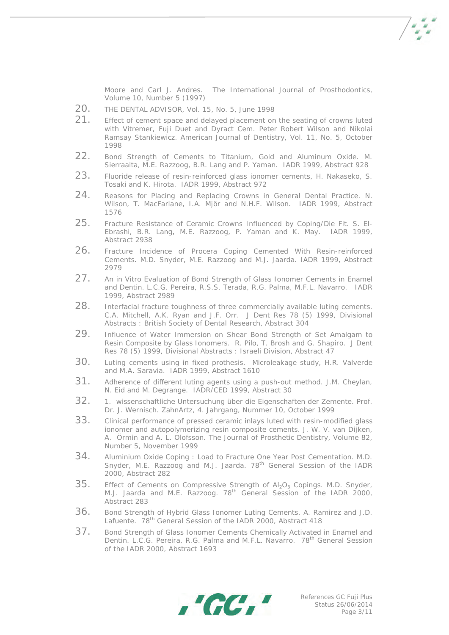Moore and Carl J. Andres. The International Journal of Prosthodontics, Volume 10, Number 5 (1997)

- 20. THE DENTAL ADVISOR, Vol. 15, No. 5, June 1998
- 21. Effect of cement space and delayed placement on the seating of crowns luted with Vitremer, Fuji Duet and Dyract Cem. Peter Robert Wilson and Nikolai Ramsay Stankiewicz. American Journal of Dentistry, Vol. 11, No. 5, October 1998
- 22. Bond Strength of Cements to Titanium, Gold and Aluminum Oxide. M. Sierraalta, M.E. Razzoog, B.R. Lang and P. Yaman. IADR 1999, Abstract 928
- 23. Fluoride release of resin-reinforced glass ionomer cements, H. Nakaseko, S. Tosaki and K. Hirota. IADR 1999, Abstract 972
- 24. Reasons for Placing and Replacing Crowns in General Dental Practice. N. Wilson, T. MacFarlane, I.A. Mjör and N.H.F. Wilson. IADR 1999, Abstract 1576
- 25. Fracture Resistance of Ceramic Crowns Influenced by Coping/Die Fit. S. El-Ebrashi, B.R. Lang, M.E. Razzoog, P. Yaman and K. May. IADR 1999, Abstract 2938
- 26. Fracture Incidence of Procera Coping Cemented With Resin-reinforced Cements. M.D. Snyder, M.E. Razzoog and M.J. Jaarda. IADR 1999, Abstract 2979
- 27. An in Vitro Evaluation of Bond Strength of Glass Ionomer Cements in Enamel and Dentin. L.C.G. Pereira, R.S.S. Terada, R.G. Palma, M.F.L. Navarro. IADR 1999, Abstract 2989
- 28. Interfacial fracture toughness of three commercially available luting cements. C.A. Mitchell, A.K. Ryan and J.F. Orr. J Dent Res 78 (5) 1999, Divisional Abstracts : British Society of Dental Research, Abstract 304
- 29. Influence of Water Immersion on Shear Bond Strength of Set Amalgam to Resin Composite by Glass Ionomers. R. Pilo, T. Brosh and G. Shapiro. J Dent Res 78 (5) 1999, Divisional Abstracts : Israeli Division, Abstract 47
- 30. Luting cements using in fixed prothesis. Microleakage study, H.R. Valverde and M.A. Saravia. IADR 1999, Abstract 1610
- 31. Adherence of different luting agents using a push-out method. J.M. Cheylan, N. Eid and M. Degrange. IADR/CED 1999, Abstract 30
- 32. 1. wissenschaftliche Untersuchung über die Eigenschaften der Zemente. Prof. Dr. J. Wernisch. ZahnArtz, 4. Jahrgang, Nummer 10, October 1999
- 33. Clinical performance of pressed ceramic inlays luted with resin-modified glass ionomer and autopolymerizing resin composite cements. J. W. V. van Dijken, A. Örmin and A. L. Olofsson. The Journal of Prosthetic Dentistry, Volume 82, Number 5, November 1999
- 34. Aluminium Oxide Coping : Load to Fracture One Year Post Cementation. M.D. Snyder, M.E. Razzoog and M.J. Jaarda. 78<sup>th</sup> General Session of the IADR 2000, Abstract 282
- $35.$  Effect of Cements on Compressive Strength of Al<sub>2</sub>O<sub>3</sub> Copings. M.D. Snyder, M.J. Jaarda and M.E. Razzoog. 78<sup>th</sup> General Session of the IADR 2000, Abstract 283
- 36. Bond Strength of Hybrid Glass Ionomer Luting Cements. A. Ramirez and J.D. Lafuente. 78<sup>th</sup> General Session of the IADR 2000, Abstract 418
- 37. Bond Strength of Glass Ionomer Cements Chemically Activated in Enamel and Dentin. L.C.G. Pereira, R.G. Palma and M.F.L. Navarro. 78<sup>th</sup> General Session of the IADR 2000, Abstract 1693

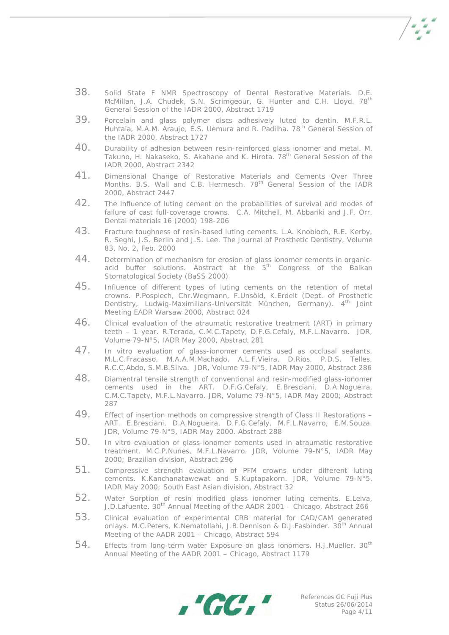- $\frac{1}{2}$
- 38. Solid State F NMR Spectroscopy of Dental Restorative Materials. D.E. McMillan, J.A. Chudek, S.N. Scrimgeour, G. Hunter and C.H. Lloyd. 78<sup>th</sup> General Session of the IADR 2000, Abstract 1719
- 39. Porcelain and glass polymer discs adhesively luted to dentin. M.F.R.L. Huhtala, M.A.M. Araujo, E.S. Uemura and R. Padilha. 78th General Session of the IADR 2000, Abstract 1727
- 40. Durability of adhesion between resin-reinforced glass ionomer and metal. M. Takuno, H. Nakaseko, S. Akahane and K. Hirota. 78<sup>th</sup> General Session of the IADR 2000, Abstract 2342
- 41. Dimensional Change of Restorative Materials and Cements Over Three Months. B.S. Wall and C.B. Hermesch. 78<sup>th</sup> General Session of the IADR 2000, Abstract 2447
- 42. The influence of luting cement on the probabilities of survival and modes of failure of cast full-coverage crowns. C.A. Mitchell, M. Abbariki and J.F. Orr. Dental materials 16 (2000) 198-206
- 43. Fracture toughness of resin-based luting cements. L.A. Knobloch, R.E. Kerby, R. Seghi, J.S. Berlin and J.S. Lee. The Journal of Prosthetic Dentistry, Volume 83, No. 2, Feb. 2000
- 44. Determination of mechanism for erosion of glass ionomer cements in organicacid buffer solutions. Abstract at the 5<sup>th</sup> Congress of the Balkan Stomatological Society (BaSS 2000)
- 45. Influence of different types of luting cements on the retention of metal crowns. P.Pospiech, Chr.Wegmann, F.Unsöld, K.Erdelt (Dept. of Prosthetic Dentistry, Ludwig-Maximilians-Universität München, Germany). 4<sup>th</sup> Joint Meeting EADR Warsaw 2000, Abstract 024
- 46. Clinical evaluation of the atraumatic restorative treatment (ART) in primary teeth – 1 year. R.Terada, C.M.C.Tapety, D.F.G.Cefaly, M.F.L.Navarro. JDR, Volume 79-N°5, IADR May 2000, Abstract 281
- 47. In vitro evaluation of glass-ionomer cements used as occlusal sealants. M.L.C.Fracasso, M.A.A.M.Machado, A.L.F.Vieira, D.Rios, P.D.S. Telles, R.C.C.Abdo, S.M.B.Silva. JDR, Volume 79-N°5, IADR May 2000, Abstract 286
- 48. Diamentral tensile strength of conventional and resin-modified glass-ionomer cements used in the ART. D.F.G.Cefaly, E.Bresciani, D.A.Nogueira, C.M.C.Tapety, M.F.L.Navarro. JDR, Volume 79-N°5, IADR May 2000; Abstract 287
- 49. Effect of insertion methods on compressive strength of Class II Restorations ART. E.Bresciani, D.A.Nogueira, D.F.G.Cefaly, M.F.L.Navarro, E.M.Souza. JDR, Volume 79-N°5, IADR May 2000. Abstract 288
- 50. In vitro evaluation of glass-ionomer cements used in atraumatic restorative treatment. M.C.P.Nunes, M.F.L.Navarro. JDR, Volume 79-N°5, IADR May 2000; Brazilian division, Abstract 296
- 51. Compressive strength evaluation of PFM crowns under different luting cements. K.Kanchanatawewat and S.Kuptapakorn. JDR, Volume 79-N°5, IADR May 2000; South East Asian division, Abstract 32
- 52. Water Sorption of resin modified glass ionomer luting cements. E.Leiva, J.D.Lafuente. 30<sup>th</sup> Annual Meeting of the AADR 2001 – Chicago, Abstract 266
- 53. Clinical evaluation of experimental CRB material for CAD/CAM generated onlays. M.C.Peters, K.Nematollahi, J.B.Dennison & D.J.Fasbinder. 30<sup>th</sup> Annual Meeting of the AADR 2001 – Chicago, Abstract 594
- 54. Effects from long-term water Exposure on glass ionomers. H.J.Mueller. 30<sup>th</sup> Annual Meeting of the AADR 2001 – Chicago, Abstract 1179

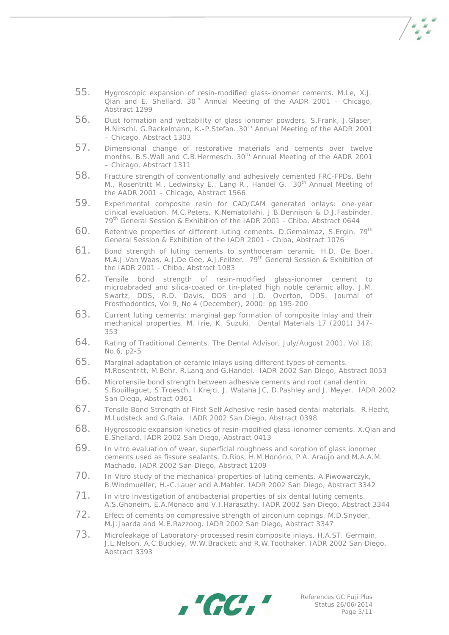

- 55. Hygroscopic expansion of resin-modified glass-ionomer cements. M.Le, X.J.  $\frac{1}{2}$  Qian and E. Shellard. 30<sup>th</sup> Annual Meeting of the AADR 2001 – Chicago, Abstract 1299
- 56. Dust formation and wettability of glass ionomer powders. S.Frank, J.Glaser, H.Nirschl, G.Rackelmann, K.-P.Stefan. 30<sup>th</sup> Annual Meeting of the AADR 2001 – Chicago, Abstract 1303
- 57. Dimensional change of restorative materials and cements over twelve months. B.S. Wall and C.B. Hermesch. 30<sup>th</sup> Annual Meeting of the AADR 2001 – Chicago, Abstract 1311
- 58. Fracture strength of conventionally and adhesively cemented FRC-FPDs. Behr M., Rosentritt M., Ledwinsky E., Lang R., Handel G. 30<sup>th</sup> Annual Meeting of the AADR 2001 – Chicago, Abstract 1566
- 59. Experimental composite resin for CAD/CAM generated onlays: one-year clinical evaluation. M.C.Peters, K.Nematollahi, J.B.Dennison & D.J.Fasbinder. 79th General Session & Exhibition of the IADR 2001 - Chiba, Abstract 0644
- 60. Retentive properties of different luting cements. D.Gemalmaz, S.Ergin. <sup>79</sup>th General Session & Exhibition of the IADR 2001 - Chiba, Abstract 1076
- 61. Bond strength of luting cements to synthoceram ceramic. H.D. De Boer, M.A.J.Van Waas, A.J.De Gee, A.J.Feilzer. 79th General Session & Exhibition of the IADR 2001 - Chiba, Abstract 1083
- 62. Tensile bond strength of resin-modified glass-ionomer cement to microabraded and silica-coated or tin-plated high noble ceramic alloy. J.M. Swartz, DDS, R.D. Davis, DDS and J.D. Overton, DDS. Journal of Prosthodontics, Vol 9, No 4 (December), 2000: pp 195-200
- 63. Current luting cements: marginal gap formation of composite inlay and their mechanical properties. M. Irie, K. Suzuki. Dental Materials 17 (2001) 347- 353
- 64. Rating of Traditional Cements. The Dental Advisor, July/August 2001, Vol.18, No.6, p2-5
- 65. Marginal adaptation of ceramic inlays using different types of cements. M.Rosentritt, M.Behr, R.Lang and G.Handel. IADR 2002 San Diego, Abstract 0053
- 66. Microtensile bond strength between adhesive cements and root canal dentin. S.Bouillaguet, S.Troesch, I.Krejci, J. Wataha JC, D.Pashley and J. Meyer. IADR 2002 San Diego, Abstract 0361
- 67. Tensile Bond Strength of First Self Adhesive resin based dental materials. R.Hecht, M.Ludsteck and G.Raia. IADR 2002 San Diego, Abstract 0398
- 68. Hygroscopic expansion kinetics of resin-modified glass-ionomer cements. X.Qian and E.Shellard. IADR 2002 San Diego, Abstract 0413
- 69. In vitro evaluation of wear, superficial roughness and sorption of glass ionomer cements used as fissure sealants. D.Rios, H.M.Honório, P.A. Araújo and M.A.A.M. Machado. IADR 2002 San Diego, Abstract 1209
- 70. In-Vitro study of the mechanical properties of luting cements. A.Piwowarczyk, B.Windmueller, H.-C.Lauer and A.Mahler. IADR 2002 San Diego, Abstract 3342
- 71. In vitro investigation of antibacterial properties of six dental luting cements. A.S.Ghoneim, E.A.Monaco and V.I.Haraszthy. IADR 2002 San Diego, Abstract 3344
- 72. Effect of cements on compressive strength of zirconium copings. M.D.Snyder, M.J.Jaarda and M.E.Razzoog. IADR 2002 San Diego, Abstract 3347
- 73. Microleakage of Laboratory-processed resin composite inlays. H.A.ST. Germain, J.L.Nelson, A.C.Buckley, W.W.Brackett and R.W.Toothaker. IADR 2002 San Diego, Abstract 3393

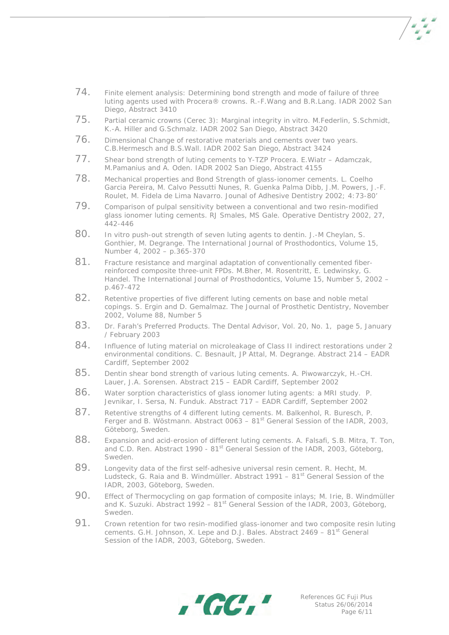

- 74. Finite element analysis: Determining bond strength and mode of failure of three luting agents used with Procera® crowns. R.-F.Wang and B.R.Lang. IADR 2002 San Diego, Abstract 3410
- 75. Partial ceramic crowns (Cerec 3): Marginal integrity in vitro. M.Federlin, S.Schmidt, K.-A. Hiller and G.Schmalz. IADR 2002 San Diego, Abstract 3420
- 76. Dimensional Change of restorative materials and cements over two years. C.B.Hermesch and B.S.Wall. IADR 2002 San Diego, Abstract 3424
- 77. Shear bond strength of luting cements to Y-TZP Procera. E.Wiatr Adamczak, M.Pamanius and A. Oden. IADR 2002 San Diego, Abstract 4155
- 78. Mechanical properties and Bond Strength of glass-ionomer cements. L. Coelho Garcia Pereira, M. Calvo Pessutti Nunes, R. Guenka Palma Dibb, J.M. Powers, J.-F. Roulet, M. Fidela de Lima Navarro. Jounal of Adhesive Dentistry 2002; 4:73-80'
- 79. Comparison of pulpal sensitivity between a conventional and two resin-modified glass ionomer luting cements. RJ Smales, MS Gale. Operative Dentistry 2002, 27, 442-446
- 80. In vitro push-out strength of seven luting agents to dentin. J.-M Cheylan, S. Gonthier, M. Degrange. The International Journal of Prosthodontics, Volume 15, Number 4, 2002 – p.365-370
- 81. Fracture resistance and marginal adaptation of conventionally cemented fiberreinforced composite three-unit FPDs. M.Bher, M. Rosentritt, E. Ledwinsky, G. Handel. The International Journal of Prosthodontics, Volume 15, Number 5, 2002 – p.467-472
- 82. Retentive properties of five different luting cements on base and noble metal copings. S. Ergin and D. Gemalmaz. The Journal of Prosthetic Dentistry, November 2002, Volume 88, Number 5
- 83. Dr. Farah's Preferred Products. The Dental Advisor, Vol. 20, No. 1, page 5, January / February 2003
- 84. Influence of luting material on microleakage of Class II indirect restorations under 2 environmental conditions. C. Besnault, JP Attal, M. Degrange. Abstract 214 – EADR Cardiff, September 2002
- 85. Dentin shear bond strength of various luting cements. A. Piwowarczyk, H.-CH. Lauer, J.A. Sorensen. Abstract 215 – EADR Cardiff, September 2002
- 86. Water sorption characteristics of glass ionomer luting agents: a MRI study. P. Jevnikar, I. Sersa, N. Funduk. Abstract 717 – EADR Cardiff, September 2002
- 87. Retentive strengths of 4 different luting cements. M. Balkenhol, R. Buresch, P. Ferger and B. Wöstmann. Abstract  $0063 - 81<sup>st</sup>$  General Session of the IADR, 2003, Göteborg, Sweden.
- 88. Expansion and acid-erosion of different luting cements. A. Falsafi, S.B. Mitra, T. Ton, and C.D. Ren. Abstract 1990 - 81<sup>st</sup> General Session of the IADR, 2003, Göteborg, Sweden.
- 89. Longevity data of the first self-adhesive universal resin cement. R. Hecht, M. Ludsteck, G. Raia and B. Windmüller. Abstract  $1991 - 81<sup>st</sup>$  General Session of the IADR, 2003, Göteborg, Sweden.
- 90. Effect of Thermocycling on gap formation of composite inlays; M. Irie, B. Windmüller and K. Suzuki. Abstract  $1992 - 81$ <sup>st</sup> General Session of the IADR, 2003, Göteborg, Sweden.
- 91. Crown retention for two resin-modified glass-ionomer and two composite resin luting cements. G.H. Johnson, X. Lepe and D.J. Bales. Abstract  $2469 - 81<sup>st</sup>$  General Session of the IADR, 2003, Göteborg, Sweden.

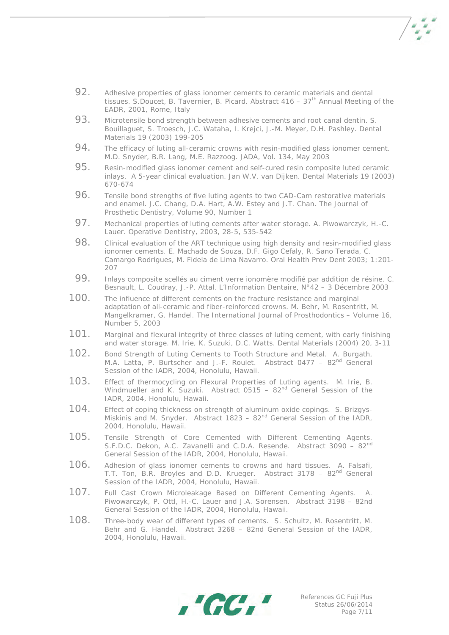

- 92. Adhesive properties of glass ionomer cements to ceramic materials and dental tissues. S. Doucet, B. Tavernier, B. Picard. Abstract  $416 - 37$ <sup>th</sup> Annual Meeting of the EADR, 2001, Rome, Italy
- 93. Microtensile bond strength between adhesive cements and root canal dentin. S. Bouillaguet, S. Troesch, J.C. Wataha, I. Krejci, J.-M. Meyer, D.H. Pashley. Dental Materials 19 (2003) 199-205
- 94. The efficacy of luting all-ceramic crowns with resin-modified glass ionomer cement. M.D. Snyder, B.R. Lang, M.E. Razzoog. JADA, Vol. 134, May 2003
- 95. Resin-modified glass ionomer cement and self-cured resin composite luted ceramic inlays. A 5-year clinical evaluation. Jan W.V. van Dijken. Dental Materials 19 (2003) 670-674
- 96. Tensile bond strengths of five luting agents to two CAD-Cam restorative materials and enamel. J.C. Chang, D.A. Hart, A.W. Estey and J.T. Chan. The Journal of Prosthetic Dentistry, Volume 90, Number 1
- 97. Mechanical properties of luting cements after water storage. A. Piwowarczyk, H.-C. Lauer. Operative Dentistry, 2003, 28-5, 535-542
- 98. Clinical evaluation of the ART technique using high density and resin-modified glass ionomer cements. E. Machado de Souza, D.F. Gigo Cefaly, R. Sano Terada, C. Camargo Rodrigues, M. Fidela de Lima Navarro. Oral Health Prev Dent 2003; 1:201- 207
- 99. Inlays composite scellés au ciment verre ionomère modifié par addition de résine. C. Besnault, L. Coudray, J.-P. Attal. L'Information Dentaire, N°42 – 3 Décembre 2003
- 100. The influence of different cements on the fracture resistance and marginal adaptation of all-ceramic and fiber-reinforced crowns. M. Behr, M. Rosentritt, M. Mangelkramer, G. Handel. The International Journal of Prosthodontics – Volume 16, Number 5, 2003
- 101. Marginal and flexural integrity of three classes of luting cement, with early finishing and water storage. M. Irie, K. Suzuki, D.C. Watts. Dental Materials (2004) 20, 3-11
- 102. Bond Strength of Luting Cements to Tooth Structure and Metal. A. Burgath, M.A. Latta, P. Burtscher and J.-F. Roulet. Abstract 0477 – 82<sup>nd</sup> General Session of the IADR, 2004, Honolulu, Hawaii.
- 103. Effect of thermocycling on Flexural Properties of Luting agents. M. Irie, B. Windmueller and K. Suzuki. Abstract  $0515 - 82<sup>nd</sup>$  General Session of the IADR, 2004, Honolulu, Hawaii.
- 104. Effect of coping thickness on strength of aluminum oxide copings. S. Brizgys-Miskinis and M. Snyder. Abstract 1823 – 82<sup>nd</sup> General Session of the IADR, 2004, Honolulu, Hawaii.
- 105. Tensile Strength of Core Cemented with Different Cementing Agents. S.F.D.C. Dekon, A.C. Zavanelli and C.D.A. Resende. Abstract 3090 - 82<sup>nd</sup> General Session of the IADR, 2004, Honolulu, Hawaii.
- 106. Adhesion of glass ionomer cements to crowns and hard tissues. A. Falsafi, T.T. Ton, B.R. Broyles and D.D. Krueger. Abstract 3178 - 82<sup>nd</sup> General Session of the IADR, 2004, Honolulu, Hawaii.
- 107. Full Cast Crown Microleakage Based on Different Cementing Agents. A. Piwowarczyk, P. Ottl, H.-C. Lauer and J.A. Sorensen. Abstract 3198 – 82nd General Session of the IADR, 2004, Honolulu, Hawaii.
- 108. Three-body wear of different types of cements. S. Schultz, M. Rosentritt, M. Behr and G. Handel. Abstract 3268 – 82nd General Session of the IADR, 2004, Honolulu, Hawaii.

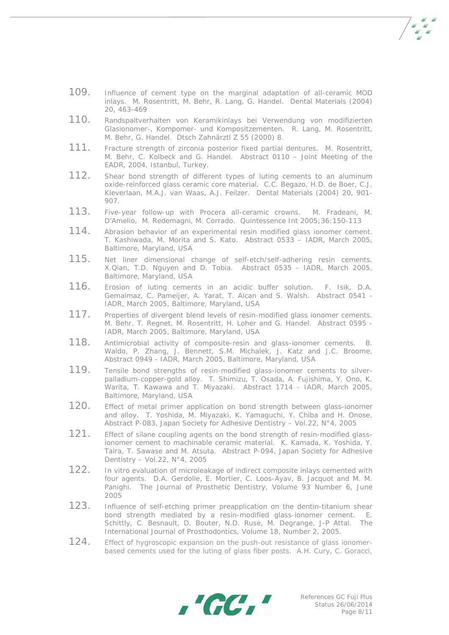

- 109. Influence of cement type on the marginal adaptation of all-ceramic MOD inlays. M. Rosentritt, M. Behr, R. Lang, G. Handel. Dental Materials (2004) 20, 463-469
- 110. Randspaltverhalten von Keramikinlays bei Verwendung von modifizierten Glasionomer-, Kompomer- und Kompositzementen. R. Lang, M. Rosentritt, M. Behr, G. Handel. Dtsch Zahnärztl Z 55 (2000) 8.
- 111. Fracture strength of zirconia posterior fixed partial dentures. M. Rosentritt, M. Behr, C. Kolbeck and G. Handel. Abstract 0110 – Joint Meeting of the EADR, 2004, Istanbul, Turkey.
- 112. Shear bond strength of different types of luting cements to an aluminum oxide-reinforced glass ceramic core material. C.C. Begazo, H.D. de Boer, C.J. Kleverlaan, M.A.J. van Waas, A.J. Feilzer. Dental Materials (2004) 20, 901- 907.
- 113. Five-year follow-up with Procera all-ceramic crowns. M. Fradeani, M. D'Amelio, M. Redemagni, M. Corrado. Quintessence Int 2005;36:150-113
- 114. Abrasion behavior of an experimental resin modified glass ionomer cement. T. Kashiwada, M. Morita and S. Kato. Abstract 0533 – IADR, March 2005, Baltimore, Maryland, USA
- 115. Net liner dimensional change of self-etch/self-adhering resin cements. X.Qian, T.D. Nguyen and D. Tobia. Abstract 0535 - IADR, March 2005, Baltimore, Maryland, USA
- 116. Erosion of luting cements in an acidic buffer solution. F. Isik, D.A. Gemalmaz, C. Pameijer, A. Yarat, T. Alcan and S. Walsh. Abstract 0541 - IADR, March 2005, Baltimore, Maryland, USA
- 117. Properties of divergent blend levels of resin-modified glass ionomer cements. M. Behr, T. Regnet, M. Rosentritt, H. Loher and G. Handel. Abstract 0595 - IADR, March 2005, Baltimore, Maryland, USA
- 118. Antimicrobial activity of composite-resin and glass-ionomer cements. B. Waldo, P. Zhang, J. Bennett, S.M. Michalek, J. Katz and J.C. Broome. Abstract 0949 - IADR, March 2005, Baltimore, Maryland, USA
- 119. Tensile bond strengths of resin-modified glass-ionomer cements to silverpalladium-copper-gold alloy. T. Shimizu, T. Osada, A. Fujishima, Y. Ono, K. Warita, T. Kawawa and T. Miyazaki. Abstract 1714 - IADR, March 2005, Baltimore, Maryland, USA
- 120. Effect of metal primer application on bond strength between glass-ionomer and alloy. T. Yoshida, M. Miyazaki, K. Yamaguchi, Y. Chiba and H. Onose. Abstract P-083, Japan Society for Adhesive Dentistry – Vol.22, N°4, 2005
- 121. Effect of silane coupling agents on the bond strength of resin-modified glassionomer cement to machinable ceramic material. K. Kamada, K. Yoshida, Y. Taira, T. Sawase and M. Atsuta. Abstract P-094, Japan Society for Adhesive Dentistry – Vol.22, N°4, 2005
- 122. In vitro evaluation of microleakage of indirect composite inlays cemented with four agents. D.A. Gerdolle, E. Mortier, C. Loos-Ayav, B. Jacquot and M. M. Panighi. The Journal of Prosthetic Dentistry, Volume 93 Number 6, June 2005
- 123. Influence of self-etching primer preapplication on the dentin-titanium shear bond strength mediated by a resin-modified glass-ionomer cement. E. Schittly, C. Besnault, D. Bouter, N.D. Ruse, M. Degrange, J-P Attal. The International Journal of Prosthodontics, Volume 18, Number 2, 2005.
- 124. Effect of hygroscopic expansion on the push-out resistance of glass ionomerbased cements used for the luting of glass fiber posts. A.H. Cury, C. Goracci,

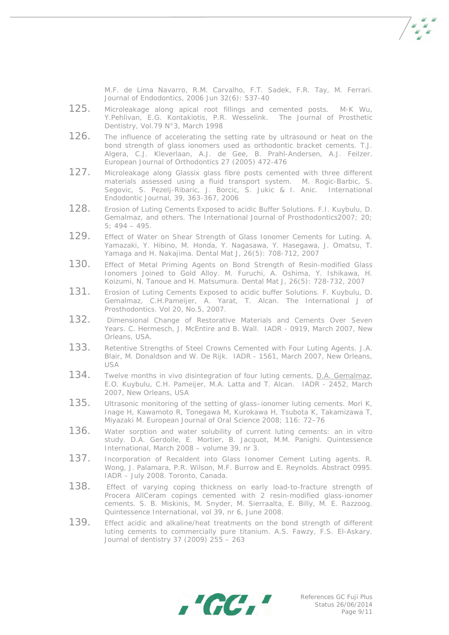

M.F. de Lima Navarro, R.M. Carvalho, F.T. Sadek, F.R. Tay, M. Ferrari. Journal of Endodontics, 2006 Jun 32(6): 537-40

- 125. Microleakage along apical root fillings and cemented posts. M-K Wu, Y.Pehlivan, E.G. Kontakiotis, P.R. Wesselink. The Journal of Prosthetic Dentistry, Vol.79 N°3, March 1998
- 126. The influence of accelerating the setting rate by ultrasound or heat on the bond strength of glass ionomers used as orthodontic bracket cements. T.J. Algera, C.J. Kleverlaan, A.J. de Gee, B. Prahl-Andersen, A.J. Feilzer. European Journal of Orthodontics 27 (2005) 472-476
- 127. Microleakage along Glassix glass fibre posts cemented with three different materials assessed using a fluid transport system. M. Rogic-Barbic, S. Segovic, S. Pezelj-Ribaric, J. Borcic, S. Jukic & I. Anic. International Endodontic Journal, 39, 363-367, 2006
- 128. Erosion of Luting Cements Exposed to acidic Buffer Solutions. F.I. Kuybulu, D. Gemalmaz, and others. The International Journal of Prosthodontics2007; 20;  $5: 494 - 495.$
- 129. Effect of Water on Shear Strength of Glass Ionomer Cements for Luting. A. Yamazaki, Y. Hibino, M. Honda, Y. Nagasawa, Y. Hasegawa, J. Omatsu, T. Yamaga and H. Nakajima. Dental Mat J, 26(5): 708-712, 2007
- 130. Effect of Metal Priming Agents on Bond Strength of Resin-modified Glass Ionomers Joined to Gold Alloy. M. Furuchi, A. Oshima, Y. Ishikawa, H. Koizumi, N. Tanoue and H. Matsumura. Dental Mat J, 26(5): 728-732, 2007
- 131. Erosion of Luting Cements Exposed to acidic buffer Solutions. F. Kuybulu, D. Gemalmaz, C.H.Pameijer, A. Yarat, T. Alcan. The International J of Prosthodontics. Vol 20, No.5, 2007.
- 132. Dimensional Change of Restorative Materials and Cements Over Seven Years. C. Hermesch, J. McEntire and B. Wall. IADR - 0919, March 2007, New Orleans, USA.
- 133. Retentive Strengths of Steel Crowns Cemented with Four Luting Agents. J.A. Blair, M. Donaldson and W. De Rijk. IADR - 1561, March 2007, New Orleans, USA
- 134. Twelve months in vivo disintegration of four luting cements, [D.A. Gemalmaz,](mailto:dikici@usa.net) E.O. Kuybulu, C.H. Pameijer, M.A. Latta and T. Alcan. IADR - 2452, March 2007, New Orleans, USA
- 135. Ultrasonic monitoring of the setting of glass–ionomer luting cements. Mori K, Inage H, Kawamoto R, Tonegawa M, Kurokawa H, Tsubota K, Takamizawa T, Miyazaki M. European Journal of Oral Science 2008; 116: 72–76
- 136. Water sorption and water solubility of current luting cements: an in vitro study. D.A. Gerdolle, E. Mortier, B. Jacquot, M.M. Panighi. Quintessence International, March 2008 – volume 39, nr 3.
- 137. Incorporation of Recaldent into Glass Ionomer Cement Luting agents. R. Wong, J. Palamara, P.R. Wilson, M.F. Burrow and E. Reynolds. Abstract 0995. IADR – July 2008. Toronto, Canada.
- 138. Effect of varying coping thickness on early load-to-fracture strength of Procera AllCeram copings cemented with 2 resin-modified glass-ionomer cements. S. B. Miskinis, M. Snyder, M. Sierraalta, E. Billy, M. E. Razzoog. Quintessence International, vol 39, nr 6, June 2008.
- 139. Effect acidic and alkaline/heat treatments on the bond strength of different luting cements to commercially pure titanium. A.S. Fawzy, F.S. El-Askary. Journal of dentistry 37 (2009) 255 – 263

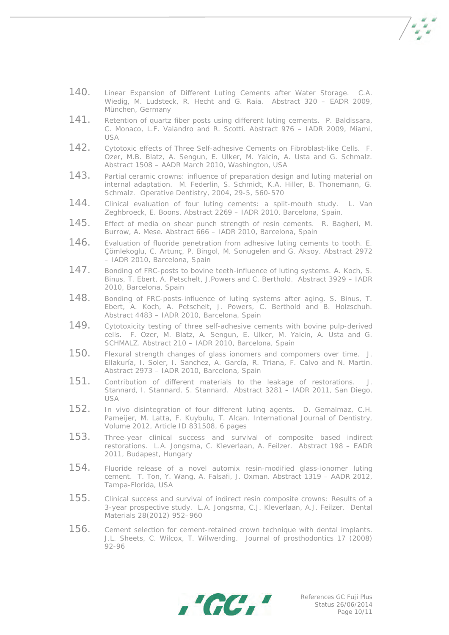

- 140. Linear Expansion of Different Luting Cements after Water Storage. C.A. Wiedig, M. Ludsteck, R. Hecht and G. Raia. Abstract 320 – EADR 2009, München, Germany
- 141. Retention of quartz fiber posts using different luting cements. P. Baldissara, C. Monaco, L.F. Valandro and R. Scotti. Abstract 976 – IADR 2009, Miami, USA
- 142. Cytotoxic effects of Three Self-adhesive Cements on Fibroblast-like Cells. F. Ozer, M.B. Blatz, A. Sengun, E. Ulker, M. Yalcin, A. Usta and G. Schmalz. Abstract 1508 – AADR March 2010, Washington, USA
- 143. Partial ceramic crowns: influence of preparation design and luting material on internal adaptation. M. Federlin, S. Schmidt, K.A. Hiller, B. Thonemann, G. Schmalz. Operative Dentistry, 2004, 29-5, 560-570
- 144. Clinical evaluation of four luting cements: a split-mouth study. L. Van Zeghbroeck, E. Boons. Abstract 2269 – IADR 2010, Barcelona, Spain.
- 145. Effect of media on shear punch strength of resin cements. R. Bagheri, M. Burrow, A. Mese. Abstract 666 – IADR 2010, Barcelona, Spain
- 146. Evaluation of fluoride penetration from adhesive luting cements to tooth. E. Çömlekoglu, C. Artunç, P. Bingol, M. Sonugelen and G. Aksoy. Abstract 2972 – IADR 2010, Barcelona, Spain
- 147. Bonding of FRC-posts to bovine teeth-influence of luting systems. A. Koch, S. Binus, T. Ebert, A. Petschelt, J.Powers and C. Berthold. Abstract 3929 – IADR 2010, Barcelona, Spain
- 148. Bonding of FRC-posts-influence of luting systems after aging. S. Binus, T. Ebert, A. Koch, A. Petschelt, J. Powers, C. Berthold and B. Holzschuh. Abstract 4483 – IADR 2010, Barcelona, Spain
- 149. Cytotoxicity testing of three self-adhesive cements with bovine pulp-derived cells. F. Ozer, M. Blatz, A. Sengun, E. Ulker, M. Yalcin, A. Usta and G. SCHMALZ. Abstract 210 – IADR 2010, Barcelona, Spain
- 150. Flexural strength changes of glass ionomers and compomers over time. J. Ellakuría, I. Soler, I. Sanchez, A. García, R. Triana, F. Calvo and N. Martin. Abstract 2973 – IADR 2010, Barcelona, Spain
- 151. Contribution of different materials to the leakage of restorations. [J.](mailto:jz.stannard@gmail.com)  [Stannard,](mailto:jz.stannard@gmail.com) I. Stannard, S. Stannard. Abstract 3281 – IADR 2011, San Diego, USA
- 152. In vivo disintegration of four different luting agents. D. Gemalmaz, C.H. Pameijer, M. Latta, F. Kuybulu, T. Alcan. International Journal of Dentistry, Volume 2012, Article ID 831508, 6 pages
- 153. Three-year clinical success and survival of composite based indirect restorations. L.A. Jongsma, C. Kleverlaan, A. Feilzer. Abstract 198 – EADR 2011, Budapest, Hungary
- 154. Fluoride release of a novel automix resin-modified glass-ionomer luting cement. T. [Ton,](mailto:tton1@mmm.com) Y. Wang, A. Falsafi, J. Oxman. Abstract 1319 – AADR 2012, Tampa-Florida, USA
- 155. Clinical success and survival of indirect resin composite crowns: Results of a 3-year prospective study. L.A. Jongsma, C.J. Kleverlaan, A.J. Feilzer. Dental Materials 28(2012) 952–960
- 156. Cement selection for cement-retained crown technique with dental implants. J.L. Sheets, C. Wilcox, T. Wilwerding. Journal of prosthodontics 17 (2008) 92-96